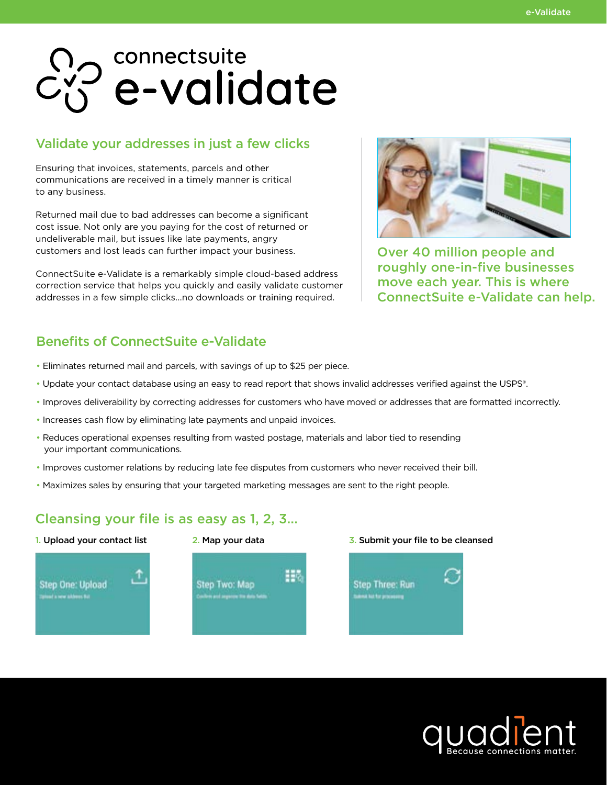# de connectsuite<br>
a e-validate

### Validate your addresses in just a few clicks

Ensuring that invoices, statements, parcels and other communications are received in a timely manner is critical to any business.

Returned mail due to bad addresses can become a significant cost issue. Not only are you paying for the cost of returned or undeliverable mail, but issues like late payments, angry customers and lost leads can further impact your business.

ConnectSuite e-Validate is a remarkably simple cloud-based address correction service that helps you quickly and easily validate customer addresses in a few simple clicks...no downloads or training required.

# Benefits of ConnectSuite e-Validate

- Eliminates returned mail and parcels, with savings of up to \$25 per piece.
- Update your contact database using an easy to read report that shows invalid addresses verified against the USPS®.
- Improves deliverability by correcting addresses for customers who have moved or addresses that are formatted incorrectly.
- Increases cash flow by eliminating late payments and unpaid invoices.
- Reduces operational expenses resulting from wasted postage, materials and labor tied to resending your important communications.
- Improves customer relations by reducing late fee disputes from customers who never received their bill.
- Maximizes sales by ensuring that your targeted marketing messages are sent to the right people.

## Cleansing your file is as easy as 1, 2, 3...





带 Step Two: Map

#### 1. Upload your contact list 2. Map your data 3. Submit your file to be cleansed







Over 40 million people and roughly one-in-five businesses move each year. This is where ConnectSuite e-Validate can help.